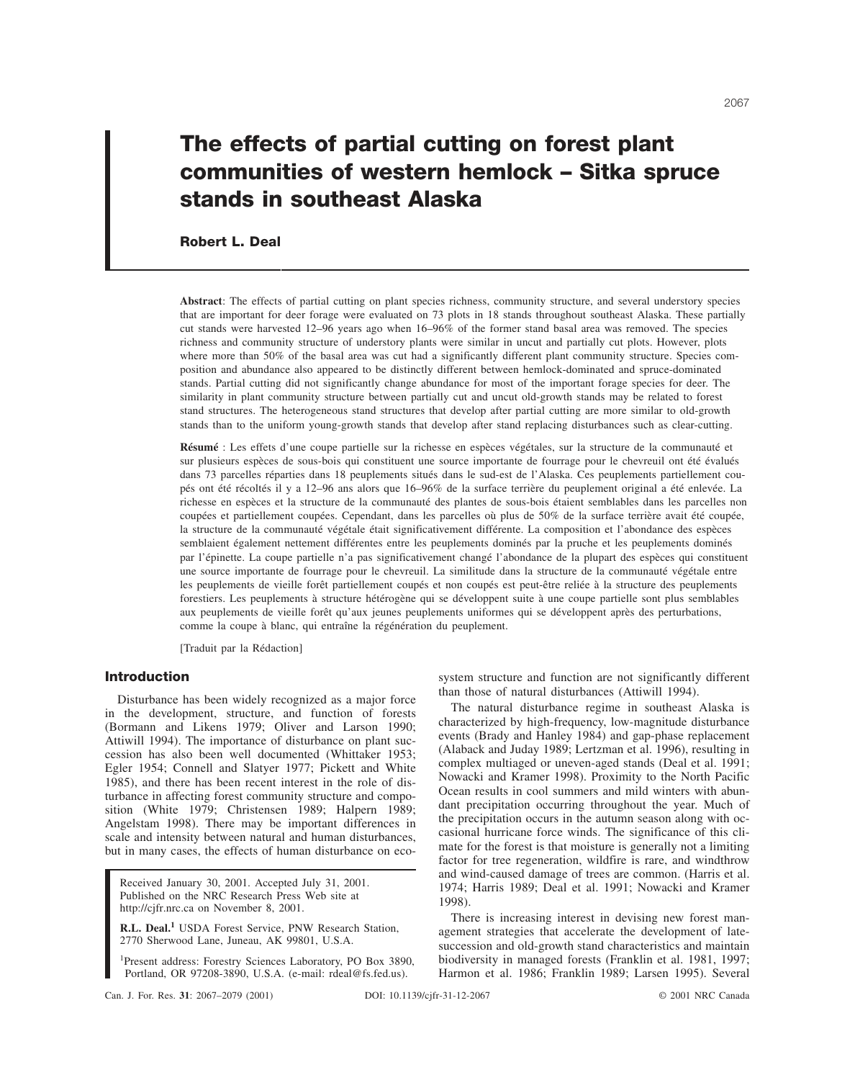# The effects of partial cutting on forest plant communities of western hemlock – Sitka spruce stands in southeast Alaska

# Robert L. Deal

**Abstract**: The effects of partial cutting on plant species richness, community structure, and several understory species that are important for deer forage were evaluated on 73 plots in 18 stands throughout southeast Alaska. These partially cut stands were harvested 12–96 years ago when 16–96% of the former stand basal area was removed. The species richness and community structure of understory plants were similar in uncut and partially cut plots. However, plots where more than 50% of the basal area was cut had a significantly different plant community structure. Species composition and abundance also appeared to be distinctly different between hemlock-dominated and spruce-dominated stands. Partial cutting did not significantly change abundance for most of the important forage species for deer. The similarity in plant community structure between partially cut and uncut old-growth stands may be related to forest stand structures. The heterogeneous stand structures that develop after partial cutting are more similar to old-growth stands than to the uniform young-growth stands that develop after stand replacing disturbances such as clear-cutting.

**Résumé** : Les effets d'une coupe partielle sur la richesse en espèces végétales, sur la structure de la communauté et sur plusieurs espèces de sous-bois qui constituent une source importante de fourrage pour le chevreuil ont été évalués dans 73 parcelles réparties dans 18 peuplements situés dans le sud-est de l'Alaska. Ces peuplements partiellement coupés ont été récoltés il y a 12–96 ans alors que 16–96% de la surface terrière du peuplement original a été enlevée. La richesse en espèces et la structure de la communauté des plantes de sous-bois étaient semblables dans les parcelles non coupées et partiellement coupées. Cependant, dans les parcelles où plus de 50% de la surface terrière avait été coupée, la structure de la communauté végétale était significativement différente. La composition et l'abondance des espèces semblaient également nettement différentes entre les peuplements dominés par la pruche et les peuplements dominés par l'épinette. La coupe partielle n'a pas significativement changé l'abondance de la plupart des espèces qui constituent une source importante de fourrage pour le chevreuil. La similitude dans la structure de la communauté végétale entre les peuplements de vieille forêt partiellement coupés et non coupés est peut-être reliée à la structure des peuplements forestiers. Les peuplements à structure hétérogène qui se développent suite à une coupe partielle sont plus semblables aux peuplements de vieille forêt qu'aux jeunes peuplements uniformes qui se développent après des perturbations, comme la coupe à blanc, qui entraîne la régénération du peuplement.

[Traduit par la Rédaction]

# Introduction

Disturbance has been widely recognized as a major force in the development, structure, and function of forests (Bormann and Likens 1979; Oliver and Larson 1990; Attiwill 1994). The importance of disturbance on plant succession has also been well documented (Whittaker 1953; Egler 1954; Connell and Slatyer 1977; Pickett and White 1985), and there has been recent interest in the role of disturbance in affecting forest community structure and composition (White 1979; Christensen 1989; Halpern 1989; Angelstam 1998). There may be important differences in scale and intensity between natural and human disturbances, but in many cases, the effects of human disturbance on eco-

Received January 30, 2001. Accepted July 31, 2001. Published on the NRC Research Press Web site at http://cjfr.nrc.ca on November 8, 2001.

**R.L. Deal.<sup>1</sup>** USDA Forest Service, PNW Research Station, 2770 Sherwood Lane, Juneau, AK 99801, U.S.A.

<sup>1</sup>Present address: Forestry Sciences Laboratory, PO Box 3890, Portland, OR 97208-3890, U.S.A. (e-mail: rdeal@fs.fed.us).

system structure and function are not significantly different than those of natural disturbances (Attiwill 1994).

The natural disturbance regime in southeast Alaska is characterized by high-frequency, low-magnitude disturbance events (Brady and Hanley 1984) and gap-phase replacement (Alaback and Juday 1989; Lertzman et al. 1996), resulting in complex multiaged or uneven-aged stands (Deal et al. 1991; Nowacki and Kramer 1998). Proximity to the North Pacific Ocean results in cool summers and mild winters with abundant precipitation occurring throughout the year. Much of the precipitation occurs in the autumn season along with occasional hurricane force winds. The significance of this climate for the forest is that moisture is generally not a limiting factor for tree regeneration, wildfire is rare, and windthrow and wind-caused damage of trees are common. (Harris et al. 1974; Harris 1989; Deal et al. 1991; Nowacki and Kramer 1998).

There is increasing interest in devising new forest management strategies that accelerate the development of latesuccession and old-growth stand characteristics and maintain biodiversity in managed forests (Franklin et al. 1981, 1997; Harmon et al. 1986; Franklin 1989; Larsen 1995). Several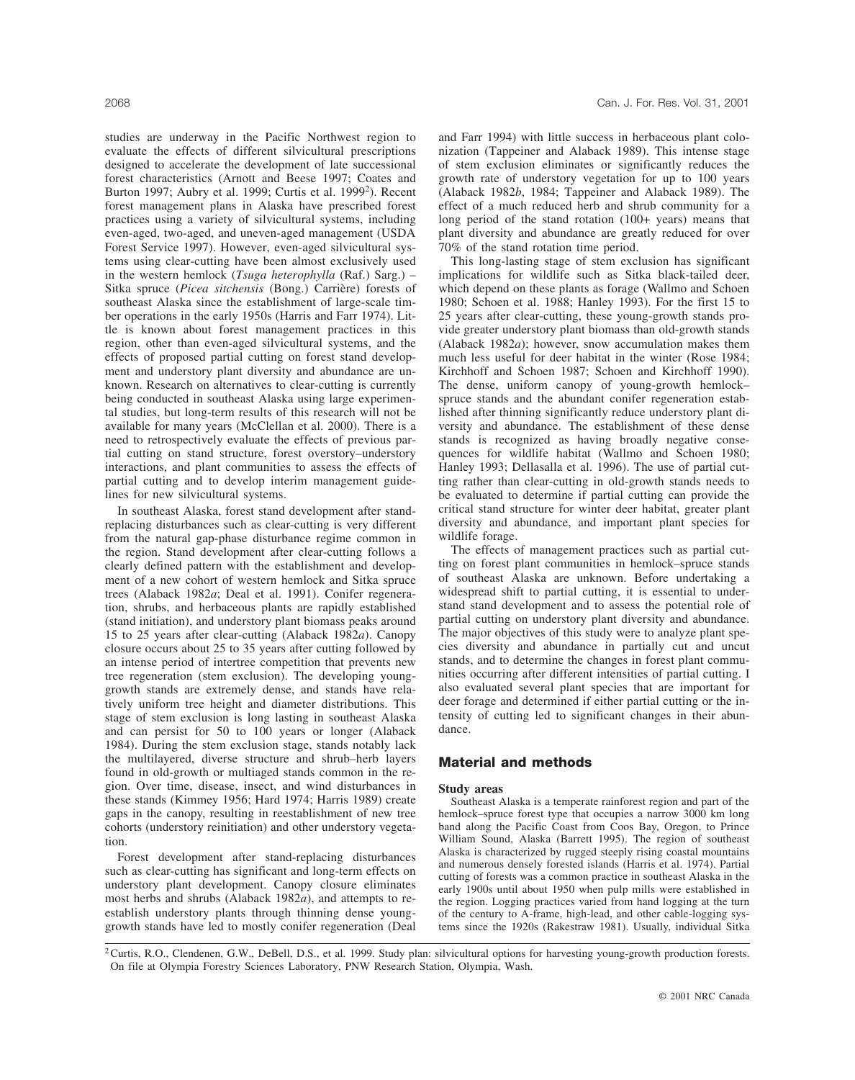studies are underway in the Pacific Northwest region to evaluate the effects of different silvicultural prescriptions designed to accelerate the development of late successional forest characteristics (Arnott and Beese 1997; Coates and Burton 1997; Aubry et al. 1999; Curtis et al. 1999<sup>2</sup>). Recent forest management plans in Alaska have prescribed forest practices using a variety of silvicultural systems, including even-aged, two-aged, and uneven-aged management (USDA Forest Service 1997). However, even-aged silvicultural systems using clear-cutting have been almost exclusively used in the western hemlock (*Tsuga heterophylla* (Raf.) Sarg.) – Sitka spruce (*Picea sitchensis* (Bong.) Carrière) forests of southeast Alaska since the establishment of large-scale timber operations in the early 1950s (Harris and Farr 1974). Little is known about forest management practices in this region, other than even-aged silvicultural systems, and the effects of proposed partial cutting on forest stand development and understory plant diversity and abundance are unknown. Research on alternatives to clear-cutting is currently being conducted in southeast Alaska using large experimental studies, but long-term results of this research will not be available for many years (McClellan et al. 2000). There is a need to retrospectively evaluate the effects of previous partial cutting on stand structure, forest overstory–understory interactions, and plant communities to assess the effects of partial cutting and to develop interim management guidelines for new silvicultural systems.

In southeast Alaska, forest stand development after standreplacing disturbances such as clear-cutting is very different from the natural gap-phase disturbance regime common in the region. Stand development after clear-cutting follows a clearly defined pattern with the establishment and development of a new cohort of western hemlock and Sitka spruce trees (Alaback 1982*a*; Deal et al. 1991). Conifer regeneration, shrubs, and herbaceous plants are rapidly established (stand initiation), and understory plant biomass peaks around 15 to 25 years after clear-cutting (Alaback 1982*a*). Canopy closure occurs about 25 to 35 years after cutting followed by an intense period of intertree competition that prevents new tree regeneration (stem exclusion). The developing younggrowth stands are extremely dense, and stands have relatively uniform tree height and diameter distributions. This stage of stem exclusion is long lasting in southeast Alaska and can persist for 50 to 100 years or longer (Alaback 1984). During the stem exclusion stage, stands notably lack the multilayered, diverse structure and shrub–herb layers found in old-growth or multiaged stands common in the region. Over time, disease, insect, and wind disturbances in these stands (Kimmey 1956; Hard 1974; Harris 1989) create gaps in the canopy, resulting in reestablishment of new tree cohorts (understory reinitiation) and other understory vegetation.

Forest development after stand-replacing disturbances such as clear-cutting has significant and long-term effects on understory plant development. Canopy closure eliminates most herbs and shrubs (Alaback 1982*a*), and attempts to reestablish understory plants through thinning dense younggrowth stands have led to mostly conifer regeneration (Deal

and Farr 1994) with little success in herbaceous plant colonization (Tappeiner and Alaback 1989). This intense stage of stem exclusion eliminates or significantly reduces the growth rate of understory vegetation for up to 100 years (Alaback 1982*b*, 1984; Tappeiner and Alaback 1989). The effect of a much reduced herb and shrub community for a long period of the stand rotation (100+ years) means that plant diversity and abundance are greatly reduced for over 70% of the stand rotation time period.

This long-lasting stage of stem exclusion has significant implications for wildlife such as Sitka black-tailed deer, which depend on these plants as forage (Wallmo and Schoen 1980; Schoen et al. 1988; Hanley 1993). For the first 15 to 25 years after clear-cutting, these young-growth stands provide greater understory plant biomass than old-growth stands (Alaback 1982*a*); however, snow accumulation makes them much less useful for deer habitat in the winter (Rose 1984; Kirchhoff and Schoen 1987; Schoen and Kirchhoff 1990). The dense, uniform canopy of young-growth hemlock– spruce stands and the abundant conifer regeneration established after thinning significantly reduce understory plant diversity and abundance. The establishment of these dense stands is recognized as having broadly negative consequences for wildlife habitat (Wallmo and Schoen 1980; Hanley 1993; Dellasalla et al. 1996). The use of partial cutting rather than clear-cutting in old-growth stands needs to be evaluated to determine if partial cutting can provide the critical stand structure for winter deer habitat, greater plant diversity and abundance, and important plant species for wildlife forage.

The effects of management practices such as partial cutting on forest plant communities in hemlock–spruce stands of southeast Alaska are unknown. Before undertaking a widespread shift to partial cutting, it is essential to understand stand development and to assess the potential role of partial cutting on understory plant diversity and abundance. The major objectives of this study were to analyze plant species diversity and abundance in partially cut and uncut stands, and to determine the changes in forest plant communities occurring after different intensities of partial cutting. I also evaluated several plant species that are important for deer forage and determined if either partial cutting or the intensity of cutting led to significant changes in their abundance.

# Material and methods

# **Study areas**

Southeast Alaska is a temperate rainforest region and part of the hemlock–spruce forest type that occupies a narrow 3000 km long band along the Pacific Coast from Coos Bay, Oregon, to Prince William Sound, Alaska (Barrett 1995). The region of southeast Alaska is characterized by rugged steeply rising coastal mountains and numerous densely forested islands (Harris et al. 1974). Partial cutting of forests was a common practice in southeast Alaska in the early 1900s until about 1950 when pulp mills were established in the region. Logging practices varied from hand logging at the turn of the century to A-frame, high-lead, and other cable-logging systems since the 1920s (Rakestraw 1981). Usually, individual Sitka

<sup>2</sup>Curtis, R.O., Clendenen, G.W., DeBell, D.S., et al. 1999. Study plan: silvicultural options for harvesting young-growth production forests. On file at Olympia Forestry Sciences Laboratory, PNW Research Station, Olympia, Wash.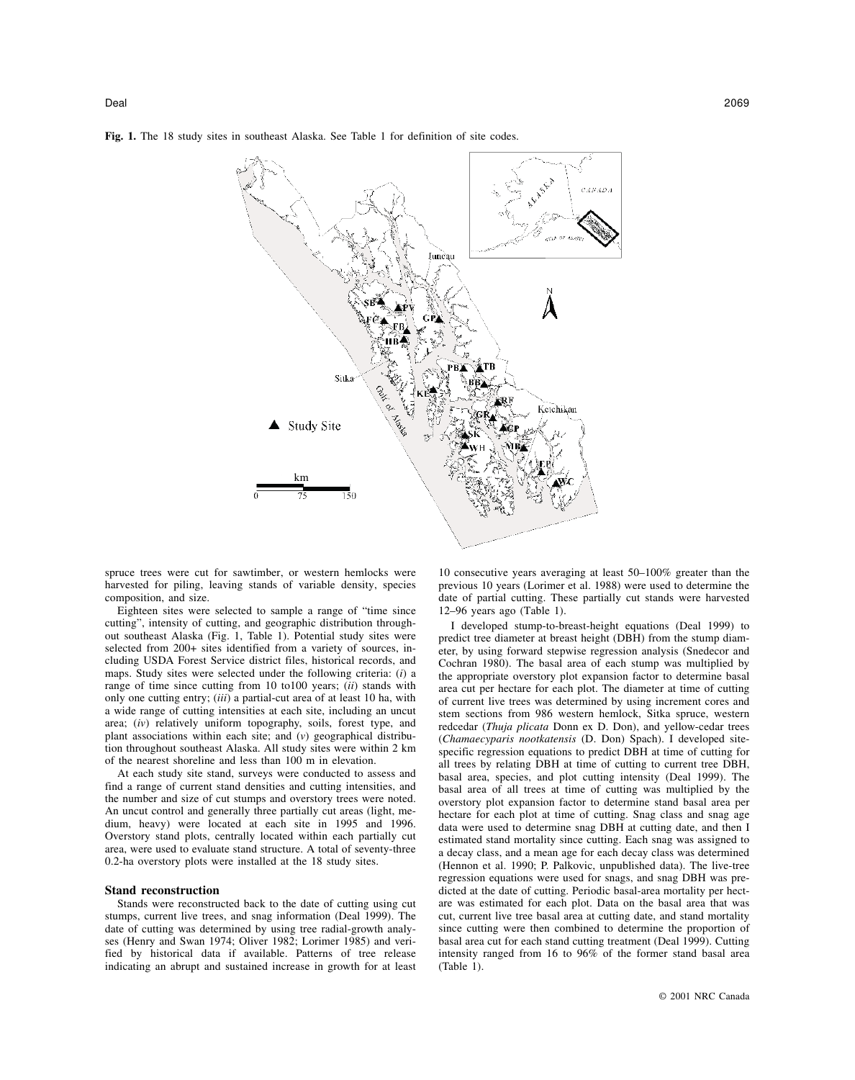



spruce trees were cut for sawtimber, or western hemlocks were harvested for piling, leaving stands of variable density, species composition, and size.

Eighteen sites were selected to sample a range of "time since cutting", intensity of cutting, and geographic distribution throughout southeast Alaska (Fig. 1, Table 1). Potential study sites were selected from 200+ sites identified from a variety of sources, including USDA Forest Service district files, historical records, and maps. Study sites were selected under the following criteria: (*i*) a range of time since cutting from 10 to100 years; (*ii*) stands with only one cutting entry; (*iii*) a partial-cut area of at least 10 ha, with a wide range of cutting intensities at each site, including an uncut area; (*iv*) relatively uniform topography, soils, forest type, and plant associations within each site; and (*v*) geographical distribution throughout southeast Alaska. All study sites were within 2 km of the nearest shoreline and less than 100 m in elevation.

At each study site stand, surveys were conducted to assess and find a range of current stand densities and cutting intensities, and the number and size of cut stumps and overstory trees were noted. An uncut control and generally three partially cut areas (light, medium, heavy) were located at each site in 1995 and 1996. Overstory stand plots, centrally located within each partially cut area, were used to evaluate stand structure. A total of seventy-three 0.2-ha overstory plots were installed at the 18 study sites.

#### **Stand reconstruction**

Stands were reconstructed back to the date of cutting using cut stumps, current live trees, and snag information (Deal 1999). The date of cutting was determined by using tree radial-growth analyses (Henry and Swan 1974; Oliver 1982; Lorimer 1985) and verified by historical data if available. Patterns of tree release indicating an abrupt and sustained increase in growth for at least

10 consecutive years averaging at least 50–100% greater than the previous 10 years (Lorimer et al. 1988) were used to determine the date of partial cutting. These partially cut stands were harvested 12–96 years ago (Table 1).

I developed stump-to-breast-height equations (Deal 1999) to predict tree diameter at breast height (DBH) from the stump diameter, by using forward stepwise regression analysis (Snedecor and Cochran 1980). The basal area of each stump was multiplied by the appropriate overstory plot expansion factor to determine basal area cut per hectare for each plot. The diameter at time of cutting of current live trees was determined by using increment cores and stem sections from 986 western hemlock, Sitka spruce, western redcedar (*Thuja plicata* Donn ex D. Don), and yellow-cedar trees (*Chamaecyparis nootkatensis* (D. Don) Spach). I developed sitespecific regression equations to predict DBH at time of cutting for all trees by relating DBH at time of cutting to current tree DBH, basal area, species, and plot cutting intensity (Deal 1999). The basal area of all trees at time of cutting was multiplied by the overstory plot expansion factor to determine stand basal area per hectare for each plot at time of cutting. Snag class and snag age data were used to determine snag DBH at cutting date, and then I estimated stand mortality since cutting. Each snag was assigned to a decay class, and a mean age for each decay class was determined (Hennon et al. 1990; P. Palkovic, unpublished data). The live-tree regression equations were used for snags, and snag DBH was predicted at the date of cutting. Periodic basal-area mortality per hectare was estimated for each plot. Data on the basal area that was cut, current live tree basal area at cutting date, and stand mortality since cutting were then combined to determine the proportion of basal area cut for each stand cutting treatment (Deal 1999). Cutting intensity ranged from 16 to 96% of the former stand basal area (Table 1).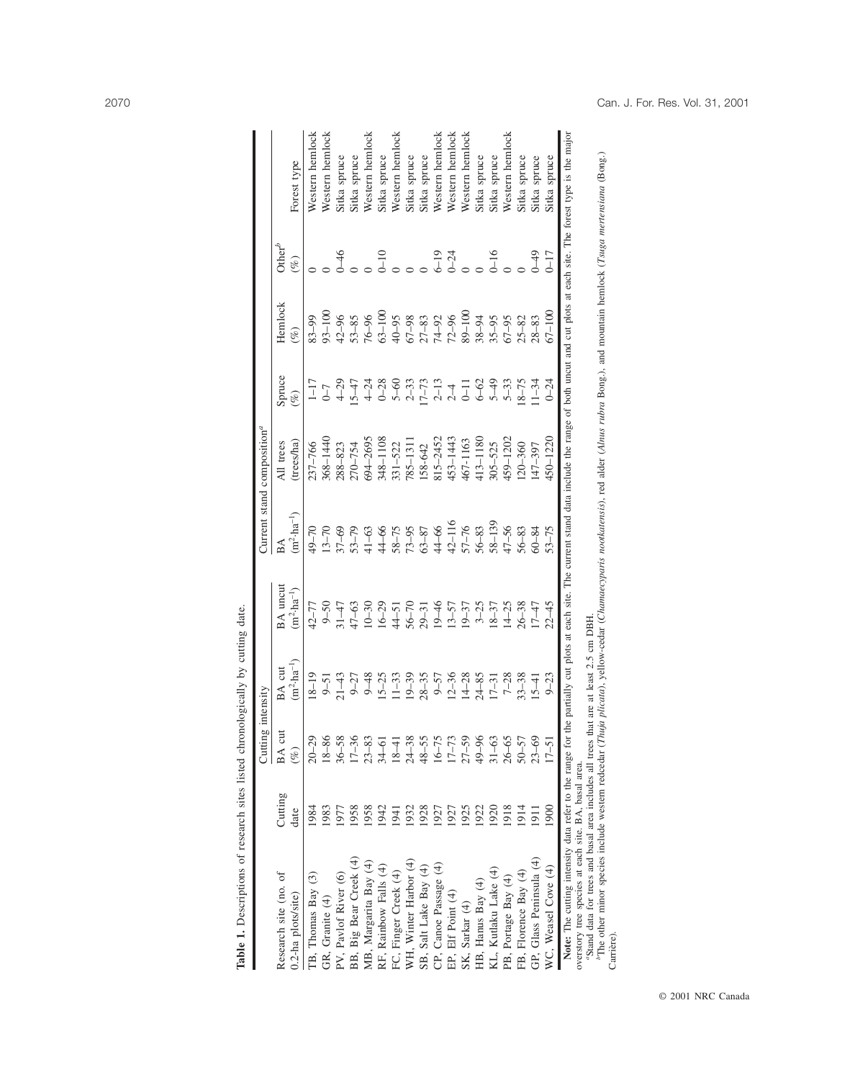|                                                                                                                                                                                                                                                                                   |                 | Cutting intensity       |                                               |                                   |                                      | Current stand composition <sup><math>a</math></sup> |                  |                   |                              |                 |
|-----------------------------------------------------------------------------------------------------------------------------------------------------------------------------------------------------------------------------------------------------------------------------------|-----------------|-------------------------|-----------------------------------------------|-----------------------------------|--------------------------------------|-----------------------------------------------------|------------------|-------------------|------------------------------|-----------------|
| Research site (no. of<br>0.2-ha plots/site)                                                                                                                                                                                                                                       | Cutting<br>date | <b>BA</b> cut<br>$(\%)$ | $(m^2 \cdot ha^{-1})$<br>$\overline{a}$<br>BA | BA uncut<br>$(m^2 \cdot ha^{-1})$ | $(m^2 \cdot ha^{-1})$<br>$_{\rm BA}$ | (trees/ha)<br>All trees                             | Spruce<br>$(\%)$ | Hemlock<br>$(\%)$ | Other <sup>b</sup><br>$(\%)$ | Forest type     |
| TB, Thomas Bay $(3)$                                                                                                                                                                                                                                                              | 1984            | $20 - 29$               | $18 - 19$                                     | 42–77                             | 49-70                                | 237-766                                             | $1 - 17$         | $83 - 99$         |                              | Western hemlock |
| GR, Granite (4)                                                                                                                                                                                                                                                                   | 1983            | $18 - 86$               | $9 - 51$                                      | $9 - 50$                          | $13 - 70$                            | 368-1440                                            | $\mathcal{L}$    | $93 - 100$        |                              | Western hemlock |
| PV, Pavlof River (6)                                                                                                                                                                                                                                                              | 1977            | $36 - 58$               | $21 - 43$                                     | $31 - 47$                         | $37 - 69$                            | 288-823                                             | $4 - 29$         | 42-96             | $0 - 46$                     | Sitka spruce    |
| BB, Big Bear Creek (4)                                                                                                                                                                                                                                                            | 1958            | $17 - 36$               | $9 - 27$                                      | $47 - 63$                         | $53 - 79$                            | 270-754                                             | $15 - 47$        | $53 - 85$         |                              | Sitka spruce    |
| MB, Margarita Bay (4)                                                                                                                                                                                                                                                             | 1958            | $23 - 83$               | $8 + 6$                                       | $10 - 30$                         | $41 - 63$                            | 694-2695                                            | $4 - 24$         | $76 - 96$         |                              | Western hemlock |
| RF, Rainbow Falls (4)                                                                                                                                                                                                                                                             | 1942            | $34 - 61$               | $15 - 25$                                     | $16 - 29$                         | 44-66                                | 348-1108                                            | $0 - 28$         | $63 - 100$        |                              | Sitka spruce    |
| FC, Finger Creek (4)                                                                                                                                                                                                                                                              | 194             | $18 - 41$               | $11 - 33$                                     | $44 - 51$                         | $58 - 75$                            | $331 - 522$                                         | $5 - 60$         | 40-95             |                              | Western hemlock |
| WH, Winter Harbor (4)                                                                                                                                                                                                                                                             | 1932            | $24 - 38$               | $19 - 39$                                     | $56 - 70$                         | $73 - 95$                            | 785-131                                             | $2 - 33$         | $67 - 98$         |                              | Sitka spruce    |
| SB, Salt Lake Bay (4)                                                                                                                                                                                                                                                             | 1928            | $48 - 55$               | $28 - 35$                                     | $29 - 31$                         | $63 - 87$                            | 158-642                                             | $17 - 73$        | $27 - 83$         |                              | Sitka spruce    |
| CP, Canoe Passage (4)                                                                                                                                                                                                                                                             | 1927            | $16 - 75$               | $9 - 57$                                      | $19 - 46$                         | 44-66                                | 815-2452                                            | $2 - 13$         | 74-92             | $6 - 19$                     | Western hemlock |
| EP, Elf Point (4)                                                                                                                                                                                                                                                                 | 1927            | $17 - 73$               | $12 - 36$                                     | $13 - 57$                         | $42 - 116$                           | 453–1443                                            | $2-4$            | $72 - 96$         | $0 - 24$                     | Western hemlock |
| SK, Sarkar (4)                                                                                                                                                                                                                                                                    | 1925            | $27 - 59$               | $14 - 28$                                     | $19 - 37$                         | $57 - 76$                            | 467-1163                                            | $\overline{11}$  | 89-100            |                              | Western hemlock |
| HB, Hanus Bay $(4)$                                                                                                                                                                                                                                                               | 1922            | 49-96                   | $24 - 85$                                     | $3 - 25$                          | 56-83                                | 413-1180                                            | $6 - 62$         | $38 - 94$         |                              | Sitka spruce    |
| KL, Kutlaku Lake (4)                                                                                                                                                                                                                                                              | 1920            | $31 - 63$               | $17 - 31$                                     | $18 - 37$                         | $58 - 139$                           | $305 - 525$                                         | $5 - 49$         | $35 - 95$         | $0 - 16$                     | Sitka spruce    |
| PB, Portage Bay (4)                                                                                                                                                                                                                                                               | 1918            | $26 - 65$               | $7 - 28$                                      | $14 - 25$                         | $47 - 56$                            | 459–1202                                            | $5 - 33$         | $67 - 95$         |                              | Western hemlock |
| FB, Florence Bay (4)                                                                                                                                                                                                                                                              | 1914            | $50 - 57$               | $33 - 38$                                     | $26 - 38$                         | 56-83                                | $.20 - 360$                                         | $18 - 75$        | $25 - 82$         |                              | Sitka spruce    |
| GP, Glass Peninsula (4)                                                                                                                                                                                                                                                           | 1911            | $23 - 69$               | $15 - 41$                                     | $17 - 47$                         | $60 - 84$                            | $147 - 397$                                         | $1 - 34$         | $28 - 83$         | $6+{-}0$                     | Sitka spruce    |
| WC, Weasel Cove (4)                                                                                                                                                                                                                                                               | 1900            | 17–51                   | $9 - 23$                                      | $22 - 45$                         | $53 - 75$                            | 450–1220                                            | $0 - 24$         | $67 - 100$        | $0 - 17$                     | Sitka spruce    |
| Note: The cutting intensity data refer to the range for the partially out plots at each site. The current stand data include the range of both uncut and cut plots at each site. The forest type is the major                                                                     |                 |                         |                                               |                                   |                                      |                                                     |                  |                   |                              |                 |
| overstory tree species at each site. BA, basal area.                                                                                                                                                                                                                              |                 |                         |                                               |                                   |                                      |                                                     |                  |                   |                              |                 |
| <sup>p</sup> The other minor species include western redcedar (Thuja plicata), yellow-cedar (Chamaecyparis nootkatensis), red alder (Ahus rubra Bong.), and mountain hemlock (Tsuga mertensiana (Bong.)<br>"Stand data for trees and basal area includes all trees that are at le |                 |                         | east 2.5 cm DBH                               |                                   |                                      |                                                     |                  |                   |                              |                 |

Table 1. Descriptions of research sites listed chronologically by cutting date. Descriptions of research sites listed chronologically by cutting date.

The other minor species include western redcedar (Thuja plicata), yellow-cedar (Chamaecyparis nootkatensis), red alder (Alnus rubra Bong.), and mountain hemlock (Tsuga mertensiana (Bong.)

Carrière).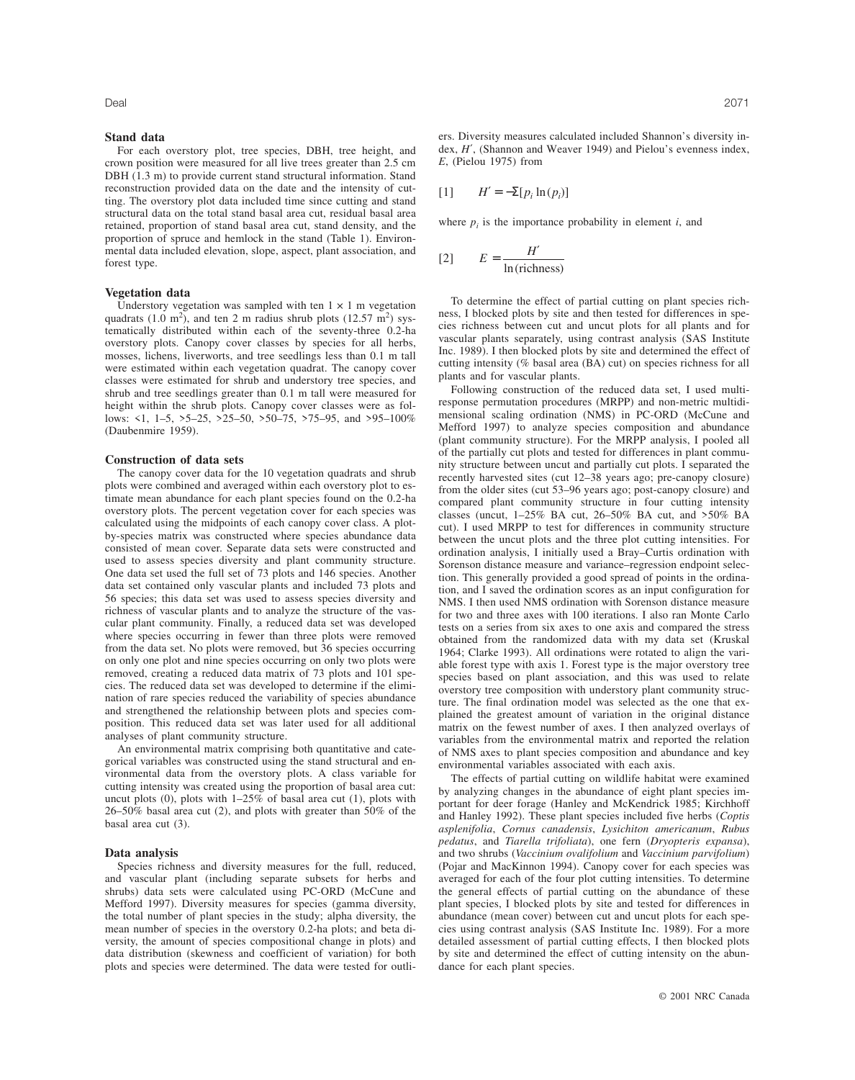#### **Stand data**

For each overstory plot, tree species, DBH, tree height, and crown position were measured for all live trees greater than 2.5 cm DBH (1.3 m) to provide current stand structural information. Stand reconstruction provided data on the date and the intensity of cutting. The overstory plot data included time since cutting and stand structural data on the total stand basal area cut, residual basal area retained, proportion of stand basal area cut, stand density, and the proportion of spruce and hemlock in the stand (Table 1). Environmental data included elevation, slope, aspect, plant association, and forest type.

## **Vegetation data**

Understory vegetation was sampled with ten  $1 \times 1$  m vegetation quadrats (1.0 m<sup>2</sup>), and ten 2 m radius shrub plots (12.57 m<sup>2</sup>) systematically distributed within each of the seventy-three 0.2-ha overstory plots. Canopy cover classes by species for all herbs, mosses, lichens, liverworts, and tree seedlings less than 0.1 m tall were estimated within each vegetation quadrat. The canopy cover classes were estimated for shrub and understory tree species, and shrub and tree seedlings greater than 0.1 m tall were measured for height within the shrub plots. Canopy cover classes were as follows: <1, 1–5, >5–25, >25–50, >50–75, >75–95, and >95–100% (Daubenmire 1959).

#### **Construction of data sets**

The canopy cover data for the 10 vegetation quadrats and shrub plots were combined and averaged within each overstory plot to estimate mean abundance for each plant species found on the 0.2-ha overstory plots. The percent vegetation cover for each species was calculated using the midpoints of each canopy cover class. A plotby-species matrix was constructed where species abundance data consisted of mean cover. Separate data sets were constructed and used to assess species diversity and plant community structure. One data set used the full set of 73 plots and 146 species. Another data set contained only vascular plants and included 73 plots and 56 species; this data set was used to assess species diversity and richness of vascular plants and to analyze the structure of the vascular plant community. Finally, a reduced data set was developed where species occurring in fewer than three plots were removed from the data set. No plots were removed, but 36 species occurring on only one plot and nine species occurring on only two plots were removed, creating a reduced data matrix of 73 plots and 101 species. The reduced data set was developed to determine if the elimination of rare species reduced the variability of species abundance and strengthened the relationship between plots and species composition. This reduced data set was later used for all additional analyses of plant community structure.

An environmental matrix comprising both quantitative and categorical variables was constructed using the stand structural and environmental data from the overstory plots. A class variable for cutting intensity was created using the proportion of basal area cut: uncut plots (0), plots with 1–25% of basal area cut (1), plots with 26–50% basal area cut (2), and plots with greater than 50% of the basal area cut (3).

#### **Data analysis**

Species richness and diversity measures for the full, reduced, and vascular plant (including separate subsets for herbs and shrubs) data sets were calculated using PC-ORD (McCune and Mefford 1997). Diversity measures for species (gamma diversity, the total number of plant species in the study; alpha diversity, the mean number of species in the overstory 0.2-ha plots; and beta diversity, the amount of species compositional change in plots) and data distribution (skewness and coefficient of variation) for both plots and species were determined. The data were tested for outliers. Diversity measures calculated included Shannon's diversity index, *H*′, (Shannon and Weaver 1949) and Pielou's evenness index, *E*, (Pielou 1975) from

$$
[1] \qquad H' = -\Sigma[p_i \ln(p_i)]
$$

where  $p_i$  is the importance probability in element  $i$ , and

$$
[2] \qquad E = \frac{H'}{\ln(\text{richness})}
$$

To determine the effect of partial cutting on plant species richness, I blocked plots by site and then tested for differences in species richness between cut and uncut plots for all plants and for vascular plants separately, using contrast analysis (SAS Institute Inc. 1989). I then blocked plots by site and determined the effect of cutting intensity (% basal area (BA) cut) on species richness for all plants and for vascular plants.

Following construction of the reduced data set, I used multiresponse permutation procedures (MRPP) and non-metric multidimensional scaling ordination (NMS) in PC-ORD (McCune and Mefford 1997) to analyze species composition and abundance (plant community structure). For the MRPP analysis, I pooled all of the partially cut plots and tested for differences in plant community structure between uncut and partially cut plots. I separated the recently harvested sites (cut 12–38 years ago; pre-canopy closure) from the older sites (cut 53–96 years ago; post-canopy closure) and compared plant community structure in four cutting intensity classes (uncut,  $1-25\%$  BA cut,  $26-50\%$  BA cut, and  $>50\%$  BA cut). I used MRPP to test for differences in community structure between the uncut plots and the three plot cutting intensities. For ordination analysis, I initially used a Bray–Curtis ordination with Sorenson distance measure and variance–regression endpoint selection. This generally provided a good spread of points in the ordination, and I saved the ordination scores as an input configuration for NMS. I then used NMS ordination with Sorenson distance measure for two and three axes with 100 iterations. I also ran Monte Carlo tests on a series from six axes to one axis and compared the stress obtained from the randomized data with my data set (Kruskal 1964; Clarke 1993). All ordinations were rotated to align the variable forest type with axis 1. Forest type is the major overstory tree species based on plant association, and this was used to relate overstory tree composition with understory plant community structure. The final ordination model was selected as the one that explained the greatest amount of variation in the original distance matrix on the fewest number of axes. I then analyzed overlays of variables from the environmental matrix and reported the relation of NMS axes to plant species composition and abundance and key environmental variables associated with each axis.

The effects of partial cutting on wildlife habitat were examined by analyzing changes in the abundance of eight plant species important for deer forage (Hanley and McKendrick 1985; Kirchhoff and Hanley 1992). These plant species included five herbs (*Coptis asplenifolia*, *Cornus canadensis*, *Lysichiton americanum*, *Rubus pedatus*, and *Tiarella trifoliata*), one fern (*Dryopteris expansa*), and two shrubs (*Vaccinium ovalifolium* and *Vaccinium parvifolium*) (Pojar and MacKinnon 1994). Canopy cover for each species was averaged for each of the four plot cutting intensities. To determine the general effects of partial cutting on the abundance of these plant species, I blocked plots by site and tested for differences in abundance (mean cover) between cut and uncut plots for each species using contrast analysis (SAS Institute Inc. 1989). For a more detailed assessment of partial cutting effects, I then blocked plots by site and determined the effect of cutting intensity on the abundance for each plant species.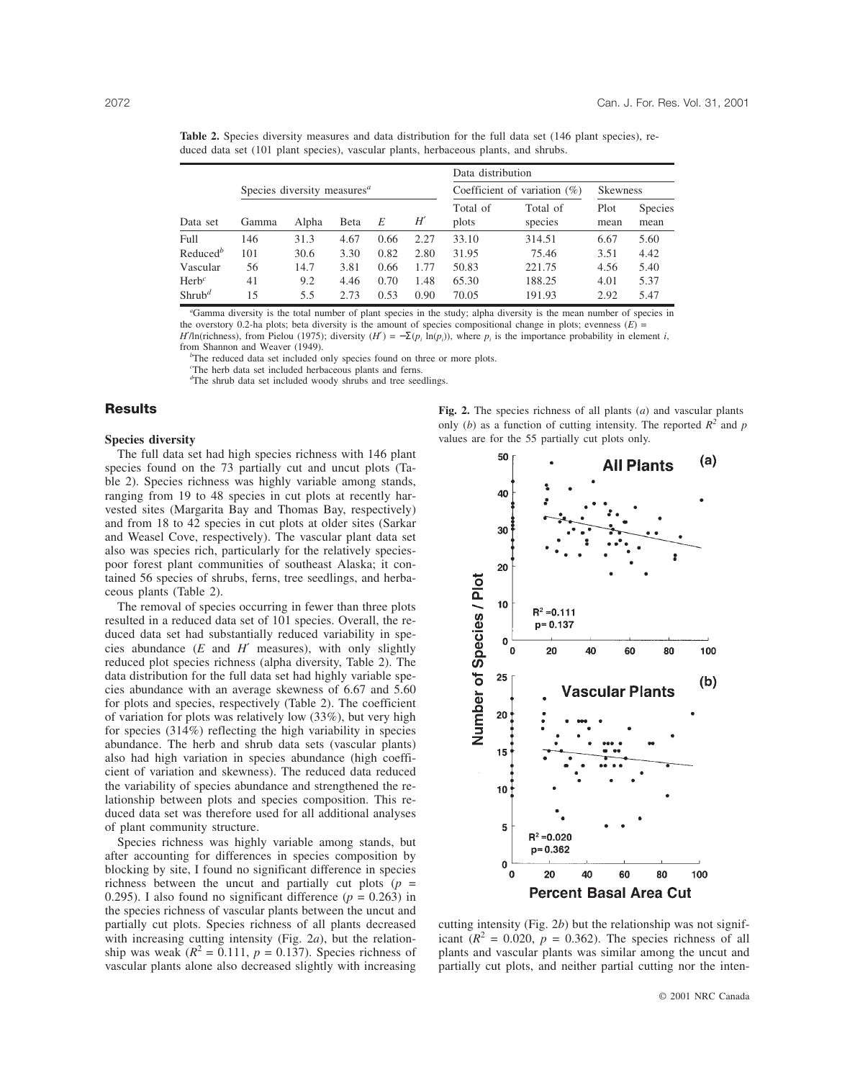|                      |                                         |       |              |      |      | Data distribution               |                     |                 |                        |  |
|----------------------|-----------------------------------------|-------|--------------|------|------|---------------------------------|---------------------|-----------------|------------------------|--|
|                      | Species diversity measures <sup>a</sup> |       |              |      |      | Coefficient of variation $(\%)$ |                     | <b>Skewness</b> |                        |  |
| Data set             | Gamma                                   | Alpha | <b>B</b> eta | E    | H    | Total of<br>plots               | Total of<br>species | Plot<br>mean    | <b>Species</b><br>mean |  |
| Full                 | 146                                     | 31.3  | 4.67         | 0.66 | 2.27 | 33.10                           | 314.51              | 6.67            | 5.60                   |  |
| Reduced <sup>b</sup> | 101                                     | 30.6  | 3.30         | 0.82 | 2.80 | 31.95                           | 75.46               | 3.51            | 4.42                   |  |
| Vascular             | 56                                      | 14.7  | 3.81         | 0.66 | 1.77 | 50.83                           | 221.75              | 4.56            | 5.40                   |  |
| $Herb^c$             | 41                                      | 9.2   | 4.46         | 0.70 | 1.48 | 65.30                           | 188.25              | 4.01            | 5.37                   |  |
| Shrub <sup>d</sup>   | 15                                      | 5.5   | 2.73         | 0.53 | 0.90 | 70.05                           | 191.93              | 2.92            | 5.47                   |  |

**Table 2.** Species diversity measures and data distribution for the full data set (146 plant species), reduced data set (101 plant species), vascular plants, herbaceous plants, and shrubs.

*<sup>a</sup>*Gamma diversity is the total number of plant species in the study; alpha diversity is the mean number of species in the overstory 0.2-ha plots; beta diversity is the amount of species compositional change in plots; evenness  $(E)$  = *H*'/ln(richness), from Pielou (1975); diversity  $(H') = -\sum (p_i \ln(p_i))$ , where  $p_i$  is the importance probability in element *i*, from Shannon and Weaver (1949).

<sup>b</sup>The reduced data set included only species found on three or more plots.

*<sup>c</sup>*The herb data set included herbaceous plants and ferns.

*<sup>d</sup>*The shrub data set included woody shrubs and tree seedlings.

# **Results**

#### **Species diversity**

The full data set had high species richness with 146 plant species found on the 73 partially cut and uncut plots (Table 2). Species richness was highly variable among stands, ranging from 19 to 48 species in cut plots at recently harvested sites (Margarita Bay and Thomas Bay, respectively) and from 18 to 42 species in cut plots at older sites (Sarkar and Weasel Cove, respectively). The vascular plant data set also was species rich, particularly for the relatively speciespoor forest plant communities of southeast Alaska; it contained 56 species of shrubs, ferns, tree seedlings, and herbaceous plants (Table 2).

The removal of species occurring in fewer than three plots resulted in a reduced data set of 101 species. Overall, the reduced data set had substantially reduced variability in species abundance (*E* and *H*′ measures), with only slightly reduced plot species richness (alpha diversity, Table 2). The data distribution for the full data set had highly variable species abundance with an average skewness of 6.67 and 5.60 for plots and species, respectively (Table 2). The coefficient of variation for plots was relatively low (33%), but very high for species (314%) reflecting the high variability in species abundance. The herb and shrub data sets (vascular plants) also had high variation in species abundance (high coefficient of variation and skewness). The reduced data reduced the variability of species abundance and strengthened the relationship between plots and species composition. This reduced data set was therefore used for all additional analyses of plant community structure.

Species richness was highly variable among stands, but after accounting for differences in species composition by blocking by site, I found no significant difference in species richness between the uncut and partially cut plots  $(p =$ 0.295). I also found no significant difference  $(p = 0.263)$  in the species richness of vascular plants between the uncut and partially cut plots. Species richness of all plants decreased with increasing cutting intensity (Fig. 2*a*), but the relationship was weak  $(R^2 = 0.111, p = 0.137)$ . Species richness of vascular plants alone also decreased slightly with increasing **Fig. 2.** The species richness of all plants (*a*) and vascular plants only (*b*) as a function of cutting intensity. The reported  $R^2$  and *p* values are for the 55 partially cut plots only.



cutting intensity (Fig. 2*b*) but the relationship was not significant  $(R^2 = 0.020, p = 0.362)$ . The species richness of all plants and vascular plants was similar among the uncut and partially cut plots, and neither partial cutting nor the inten-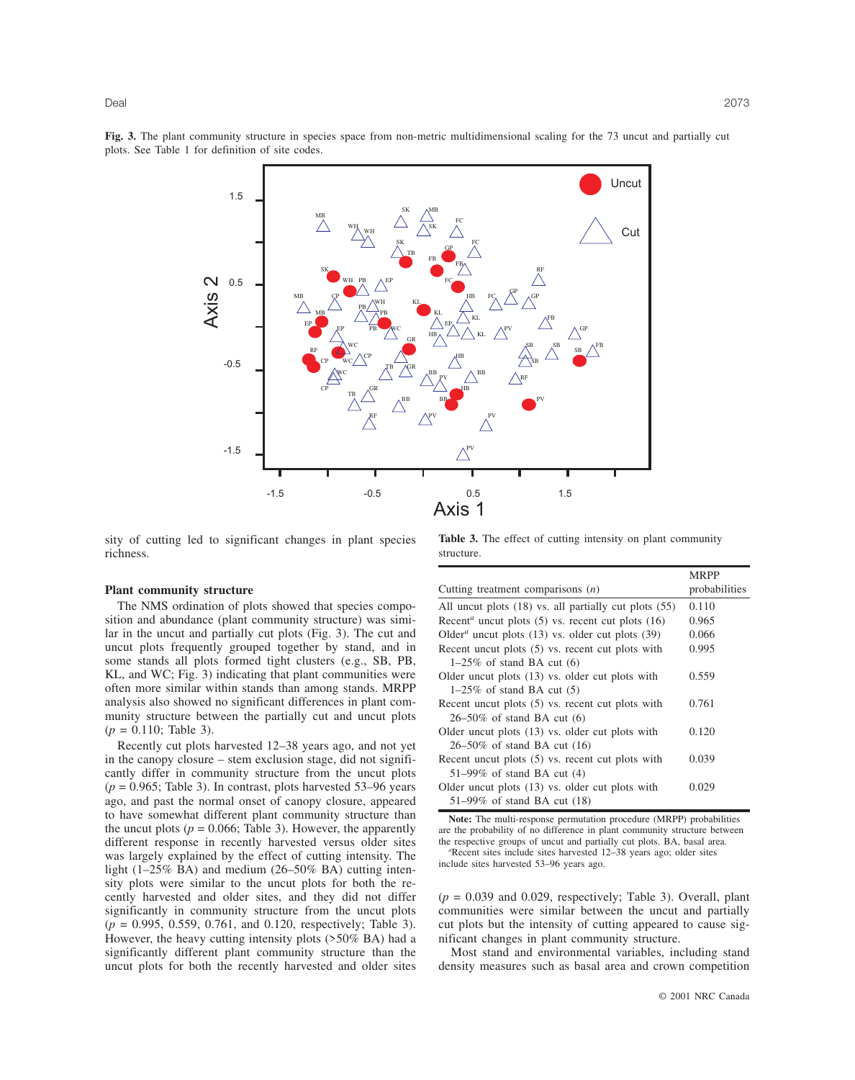**Fig. 3.** The plant community structure in species space from non-metric multidimensional scaling for the 73 uncut and partially cut plots. See Table 1 for definition of site codes.



sity of cutting led to significant changes in plant species richness.

**Plant community structure**

The NMS ordination of plots showed that species composition and abundance (plant community structure) was similar in the uncut and partially cut plots (Fig. 3). The cut and uncut plots frequently grouped together by stand, and in some stands all plots formed tight clusters (e.g., SB, PB, KL, and WC; Fig. 3) indicating that plant communities were often more similar within stands than among stands. MRPP analysis also showed no significant differences in plant community structure between the partially cut and uncut plots (*p* = 0.110; Table 3).

Recently cut plots harvested 12–38 years ago, and not yet in the canopy closure – stem exclusion stage, did not significantly differ in community structure from the uncut plots  $(p = 0.965;$  Table 3). In contrast, plots harvested 53–96 years ago, and past the normal onset of canopy closure, appeared to have somewhat different plant community structure than the uncut plots ( $p = 0.066$ ; Table 3). However, the apparently different response in recently harvested versus older sites was largely explained by the effect of cutting intensity. The light (1–25% BA) and medium (26–50% BA) cutting intensity plots were similar to the uncut plots for both the recently harvested and older sites, and they did not differ significantly in community structure from the uncut plots (*p* = 0.995, 0.559, 0.761, and 0.120, respectively; Table 3). However, the heavy cutting intensity plots (>50% BA) had a significantly different plant community structure than the uncut plots for both the recently harvested and older sites

**Table 3.** The effect of cutting intensity on plant community structure.

|                                                                                   | <b>MRPP</b>   |
|-----------------------------------------------------------------------------------|---------------|
| Cutting treatment comparisons $(n)$                                               | probabilities |
| All uncut plots (18) vs. all partially cut plots (55)                             | 0.110         |
| Recent <sup>a</sup> uncut plots $(5)$ vs. recent cut plots $(16)$                 | 0.965         |
| Older <sup><i>a</i></sup> uncut plots (13) vs. older cut plots (39)               | 0.066         |
| Recent uncut plots (5) vs. recent cut plots with<br>$1-25\%$ of stand BA cut (6)  | 0.995         |
| Older uncut plots (13) vs. older cut plots with<br>$1-25\%$ of stand BA cut (5)   | 0.559         |
| Recent uncut plots (5) vs. recent cut plots with<br>$26-50\%$ of stand BA cut (6) | 0.761         |
| Older uncut plots (13) vs. older cut plots with<br>$26-50\%$ of stand BA cut (16) | 0.120         |
| Recent uncut plots (5) vs. recent cut plots with<br>51–99% of stand BA cut $(4)$  | 0.039         |
| Older uncut plots (13) vs. older cut plots with<br>51–99% of stand BA cut (18)    | 0.029         |

**Note:** The multi-response permutation procedure (MRPP) probabilities are the probability of no difference in plant community structure between the respective groups of uncut and partially cut plots. BA, basal area.

*<sup>a</sup>*Recent sites include sites harvested 12–38 years ago; older sites include sites harvested 53–96 years ago.

 $(p = 0.039$  and 0.029, respectively; Table 3). Overall, plant communities were similar between the uncut and partially cut plots but the intensity of cutting appeared to cause significant changes in plant community structure.

Most stand and environmental variables, including stand density measures such as basal area and crown competition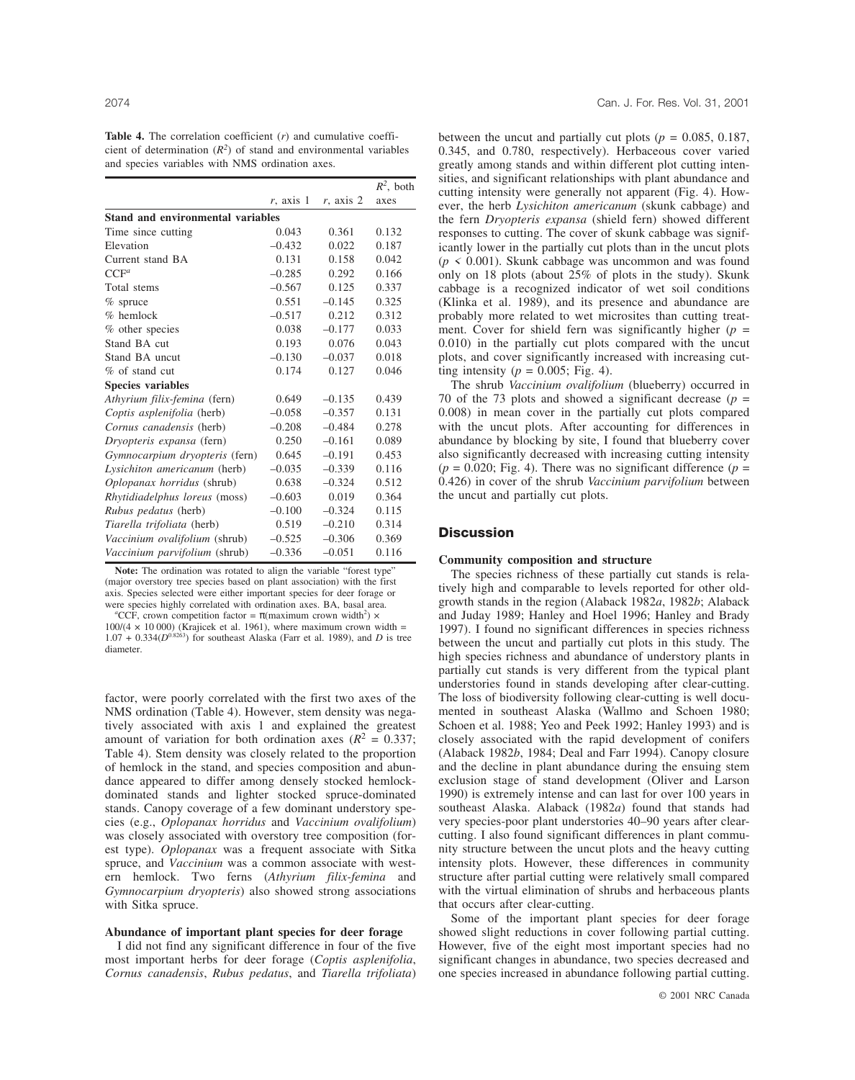**Table 4.** The correlation coefficient (*r*) and cumulative coefficient of determination  $(R^2)$  of stand and environmental variables and species variables with NMS ordination axes.

|                                      |              |              | $R^2$ , both |
|--------------------------------------|--------------|--------------|--------------|
|                                      | $r$ , axis 1 | $r$ , axis 2 | axes         |
| Stand and environmental variables    |              |              |              |
| Time since cutting                   | 0.043        | 0.361        | 0.132        |
| Elevation                            | $-0.432$     | 0.022        | 0.187        |
| Current stand BA                     | 0.131        | 0.158        | 0.042        |
| $CCF^a$                              | $-0.285$     | 0.292        | 0.166        |
| Total stems                          | $-0.567$     | 0.125        | 0.337        |
| $%$ spruce                           | 0.551        | $-0.145$     | 0.325        |
| $%$ hemlock                          | $-0.517$     | 0.212        | 0.312        |
| % other species                      | 0.038        | $-0.177$     | 0.033        |
| Stand BA cut                         | 0.193        | 0.076        | 0.043        |
| Stand BA uncut                       | $-0.130$     | $-0.037$     | 0.018        |
| $\%$ of stand cut                    | 0.174        | 0.127        | 0.046        |
| <b>Species variables</b>             |              |              |              |
| Athyrium filix-femina (fern)         | 0.649        | $-0.135$     | 0.439        |
| Coptis asplenifolia (herb)           | $-0.058$     | $-0.357$     | 0.131        |
| Cornus canadensis (herb)             | $-0.208$     | $-0.484$     | 0.278        |
| Dryopteris expansa (fern)            | 0.250        | $-0.161$     | 0.089        |
| Gymnocarpium dryopteris (fern)       | 0.645        | $-0.191$     | 0.453        |
| Lysichiton americanum (herb)         | $-0.035$     | $-0.339$     | 0.116        |
| Oplopanax horridus (shrub)           | 0.638        | $-0.324$     | 0.512        |
| Rhytidiadelphus loreus (moss)        | $-0.603$     | 0.019        | 0.364        |
| <i>Rubus pedatus</i> (herb)          | $-0.100$     | $-0.324$     | 0.115        |
| Tiarella trifoliata (herb)           | 0.519        | $-0.210$     | 0.314        |
| Vaccinium ovalifolium (shrub)        | $-0.525$     | $-0.306$     | 0.369        |
| <i>Vaccinium parvifolium</i> (shrub) | $-0.336$     | $-0.051$     | 0.116        |

**Note:** The ordination was rotated to align the variable "forest type" (major overstory tree species based on plant association) with the first axis. Species selected were either important species for deer forage or were species highly correlated with ordination axes. BA, basal area.

<sup>a</sup>CCF, crown competition factor =  $\pi$ (maximum crown width<sup>2</sup>) ×  $100/(4 \times 10000)$  (Krajicek et al. 1961), where maximum crown width =  $1.07 + 0.334(D^{0.8263})$  for southeast Alaska (Farr et al. 1989), and *D* is tree diameter.

factor, were poorly correlated with the first two axes of the NMS ordination (Table 4). However, stem density was negatively associated with axis 1 and explained the greatest amount of variation for both ordination axes ( $R^2 = 0.337$ ; Table 4). Stem density was closely related to the proportion of hemlock in the stand, and species composition and abundance appeared to differ among densely stocked hemlockdominated stands and lighter stocked spruce-dominated stands. Canopy coverage of a few dominant understory species (e.g., *Oplopanax horridus* and *Vaccinium ovalifolium*) was closely associated with overstory tree composition (forest type). *Oplopanax* was a frequent associate with Sitka spruce, and *Vaccinium* was a common associate with western hemlock. Two ferns (*Athyrium filix-femina* and *Gymnocarpium dryopteris*) also showed strong associations with Sitka spruce.

#### **Abundance of important plant species for deer forage**

I did not find any significant difference in four of the five most important herbs for deer forage (*Coptis asplenifolia*, *Cornus canadensis*, *Rubus pedatus*, and *Tiarella trifoliata*) between the uncut and partially cut plots (*p =* 0.085, 0.187, 0.345, and 0.780, respectively). Herbaceous cover varied greatly among stands and within different plot cutting intensities, and significant relationships with plant abundance and cutting intensity were generally not apparent (Fig. 4). However, the herb *Lysichiton americanum* (skunk cabbage) and the fern *Dryopteris expansa* (shield fern) showed different responses to cutting. The cover of skunk cabbage was significantly lower in the partially cut plots than in the uncut plots (*p <* 0.001). Skunk cabbage was uncommon and was found only on 18 plots (about 25% of plots in the study). Skunk cabbage is a recognized indicator of wet soil conditions (Klinka et al. 1989), and its presence and abundance are probably more related to wet microsites than cutting treatment. Cover for shield fern was significantly higher  $(p =$ 0.010) in the partially cut plots compared with the uncut plots, and cover significantly increased with increasing cutting intensity ( $p = 0.005$ ; Fig. 4).

The shrub *Vaccinium ovalifolium* (blueberry) occurred in 70 of the 73 plots and showed a significant decrease  $(p =$ 0.008) in mean cover in the partially cut plots compared with the uncut plots. After accounting for differences in abundance by blocking by site, I found that blueberry cover also significantly decreased with increasing cutting intensity  $(p = 0.020;$  Fig. 4). There was no significant difference  $(p = 0.020;$ 0.426) in cover of the shrub *Vaccinium parvifolium* between the uncut and partially cut plots.

# **Discussion**

## **Community composition and structure**

The species richness of these partially cut stands is relatively high and comparable to levels reported for other oldgrowth stands in the region (Alaback 1982*a*, 1982*b*; Alaback and Juday 1989; Hanley and Hoel 1996; Hanley and Brady 1997). I found no significant differences in species richness between the uncut and partially cut plots in this study. The high species richness and abundance of understory plants in partially cut stands is very different from the typical plant understories found in stands developing after clear-cutting. The loss of biodiversity following clear-cutting is well documented in southeast Alaska (Wallmo and Schoen 1980; Schoen et al. 1988; Yeo and Peek 1992; Hanley 1993) and is closely associated with the rapid development of conifers (Alaback 1982*b*, 1984; Deal and Farr 1994). Canopy closure and the decline in plant abundance during the ensuing stem exclusion stage of stand development (Oliver and Larson 1990) is extremely intense and can last for over 100 years in southeast Alaska. Alaback (1982*a*) found that stands had very species-poor plant understories 40–90 years after clearcutting. I also found significant differences in plant community structure between the uncut plots and the heavy cutting intensity plots. However, these differences in community structure after partial cutting were relatively small compared with the virtual elimination of shrubs and herbaceous plants that occurs after clear-cutting.

Some of the important plant species for deer forage showed slight reductions in cover following partial cutting. However, five of the eight most important species had no significant changes in abundance, two species decreased and one species increased in abundance following partial cutting.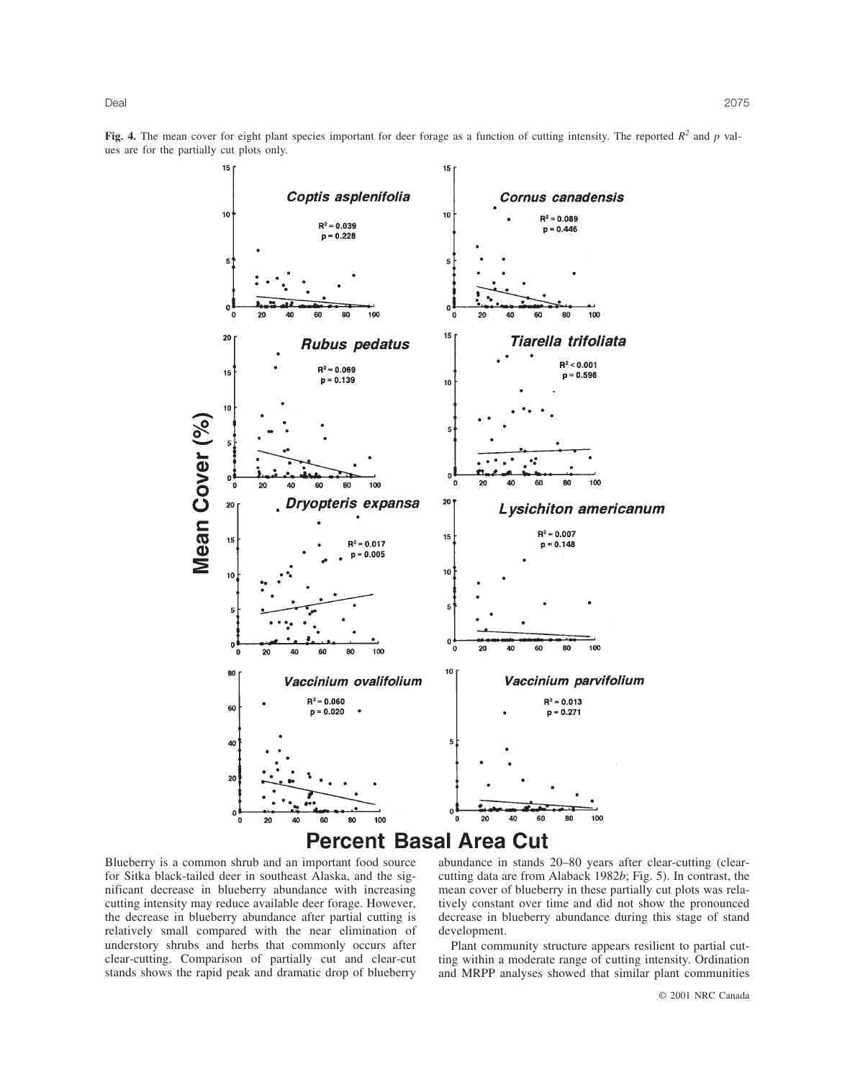

**Fig. 4.** The mean cover for eight plant species important for deer forage as a function of cutting intensity. The reported  $R^2$  and p values are for the partially cut plots only.

Blueberry is a common shrub and an important food source for Sitka black-tailed deer in southeast Alaska, and the significant decrease in blueberry abundance with increasing cutting intensity may reduce available deer forage. However, the decrease in blueberry abundance after partial cutting is relatively small compared with the near elimination of understory shrubs and herbs that commonly occurs after clear-cutting. Comparison of partially cut and clear-cut stands shows the rapid peak and dramatic drop of blueberry abundance in stands 20–80 years after clear-cutting (clearcutting data are from Alaback 1982*b*; Fig. 5). In contrast, the mean cover of blueberry in these partially cut plots was relatively constant over time and did not show the pronounced decrease in blueberry abundance during this stage of stand development.

Plant community structure appears resilient to partial cutting within a moderate range of cutting intensity. Ordination and MRPP analyses showed that similar plant communities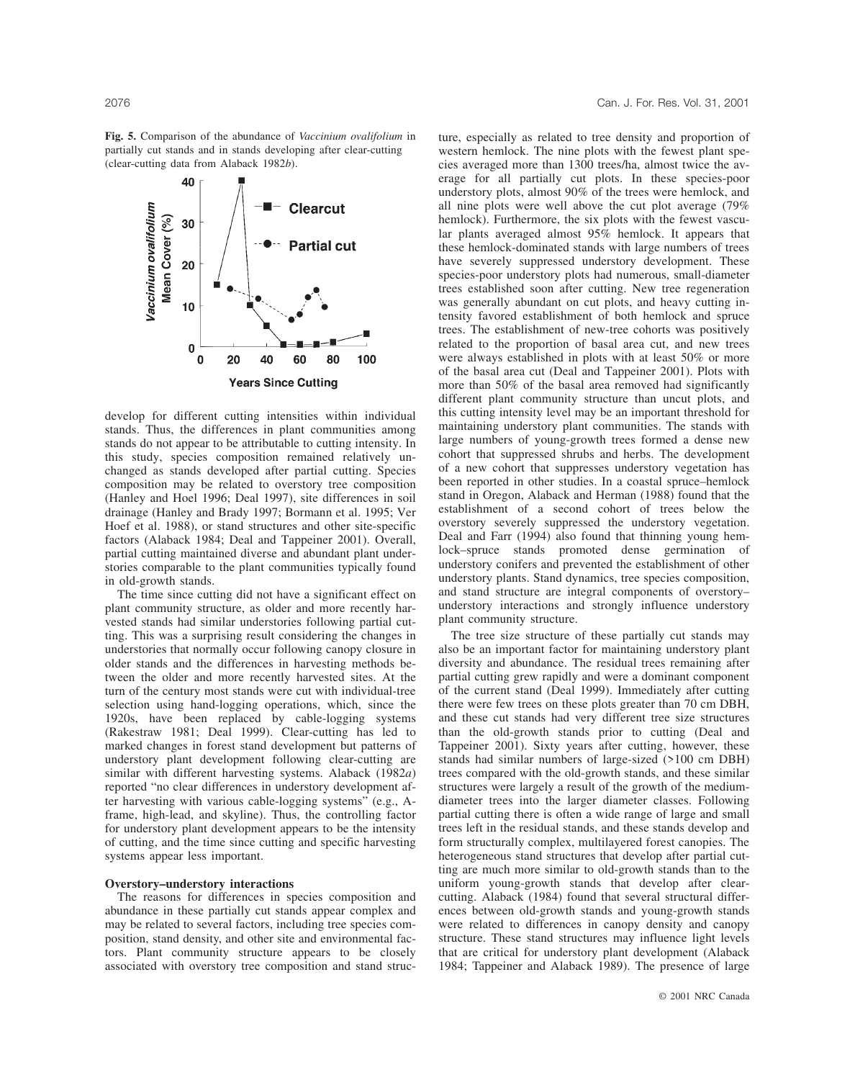**Fig. 5.** Comparison of the abundance of *Vaccinium ovalifolium* in partially cut stands and in stands developing after clear-cutting (clear-cutting data from Alaback 1982*b*).



develop for different cutting intensities within individual stands. Thus, the differences in plant communities among stands do not appear to be attributable to cutting intensity. In this study, species composition remained relatively unchanged as stands developed after partial cutting. Species composition may be related to overstory tree composition (Hanley and Hoel 1996; Deal 1997), site differences in soil drainage (Hanley and Brady 1997; Bormann et al. 1995; Ver Hoef et al. 1988), or stand structures and other site-specific factors (Alaback 1984; Deal and Tappeiner 2001). Overall, partial cutting maintained diverse and abundant plant understories comparable to the plant communities typically found in old-growth stands.

The time since cutting did not have a significant effect on plant community structure, as older and more recently harvested stands had similar understories following partial cutting. This was a surprising result considering the changes in understories that normally occur following canopy closure in older stands and the differences in harvesting methods between the older and more recently harvested sites. At the turn of the century most stands were cut with individual-tree selection using hand-logging operations, which, since the 1920s, have been replaced by cable-logging systems (Rakestraw 1981; Deal 1999). Clear-cutting has led to marked changes in forest stand development but patterns of understory plant development following clear-cutting are similar with different harvesting systems. Alaback (1982*a*) reported "no clear differences in understory development after harvesting with various cable-logging systems" (e.g., Aframe, high-lead, and skyline). Thus, the controlling factor for understory plant development appears to be the intensity of cutting, and the time since cutting and specific harvesting systems appear less important.

## **Overstory–understory interactions**

The reasons for differences in species composition and abundance in these partially cut stands appear complex and may be related to several factors, including tree species composition, stand density, and other site and environmental factors. Plant community structure appears to be closely associated with overstory tree composition and stand structure, especially as related to tree density and proportion of western hemlock. The nine plots with the fewest plant species averaged more than 1300 trees/ha, almost twice the average for all partially cut plots. In these species-poor understory plots, almost 90% of the trees were hemlock, and all nine plots were well above the cut plot average (79% hemlock). Furthermore, the six plots with the fewest vascular plants averaged almost 95% hemlock. It appears that these hemlock-dominated stands with large numbers of trees have severely suppressed understory development. These species-poor understory plots had numerous, small-diameter trees established soon after cutting. New tree regeneration was generally abundant on cut plots, and heavy cutting intensity favored establishment of both hemlock and spruce trees. The establishment of new-tree cohorts was positively related to the proportion of basal area cut, and new trees were always established in plots with at least 50% or more of the basal area cut (Deal and Tappeiner 2001). Plots with more than 50% of the basal area removed had significantly different plant community structure than uncut plots, and this cutting intensity level may be an important threshold for maintaining understory plant communities. The stands with large numbers of young-growth trees formed a dense new cohort that suppressed shrubs and herbs. The development of a new cohort that suppresses understory vegetation has been reported in other studies. In a coastal spruce–hemlock stand in Oregon, Alaback and Herman (1988) found that the establishment of a second cohort of trees below the overstory severely suppressed the understory vegetation. Deal and Farr (1994) also found that thinning young hemlock–spruce stands promoted dense germination of understory conifers and prevented the establishment of other understory plants. Stand dynamics, tree species composition, and stand structure are integral components of overstory– understory interactions and strongly influence understory plant community structure.

The tree size structure of these partially cut stands may also be an important factor for maintaining understory plant diversity and abundance. The residual trees remaining after partial cutting grew rapidly and were a dominant component of the current stand (Deal 1999). Immediately after cutting there were few trees on these plots greater than 70 cm DBH, and these cut stands had very different tree size structures than the old-growth stands prior to cutting (Deal and Tappeiner 2001). Sixty years after cutting, however, these stands had similar numbers of large-sized (>100 cm DBH) trees compared with the old-growth stands, and these similar structures were largely a result of the growth of the mediumdiameter trees into the larger diameter classes. Following partial cutting there is often a wide range of large and small trees left in the residual stands, and these stands develop and form structurally complex, multilayered forest canopies. The heterogeneous stand structures that develop after partial cutting are much more similar to old-growth stands than to the uniform young-growth stands that develop after clearcutting. Alaback (1984) found that several structural differences between old-growth stands and young-growth stands were related to differences in canopy density and canopy structure. These stand structures may influence light levels that are critical for understory plant development (Alaback 1984; Tappeiner and Alaback 1989). The presence of large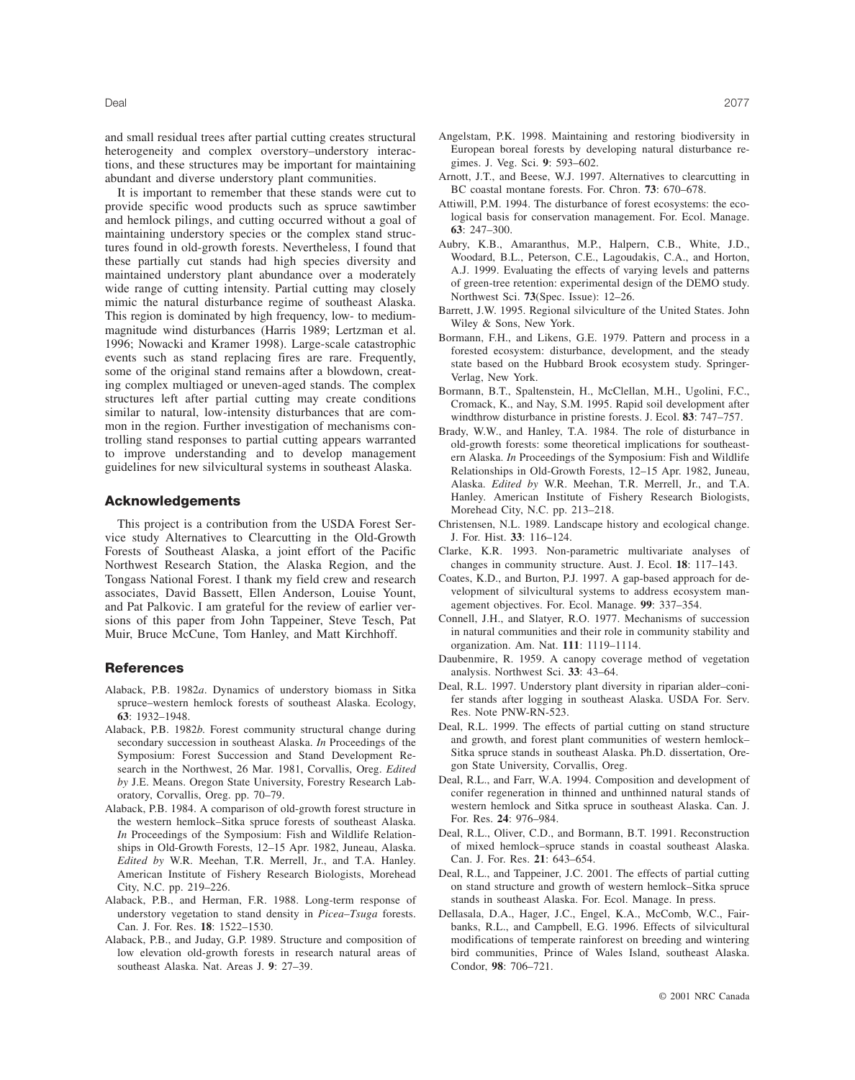and small residual trees after partial cutting creates structural heterogeneity and complex overstory–understory interactions, and these structures may be important for maintaining abundant and diverse understory plant communities.

It is important to remember that these stands were cut to provide specific wood products such as spruce sawtimber and hemlock pilings, and cutting occurred without a goal of maintaining understory species or the complex stand structures found in old-growth forests. Nevertheless, I found that these partially cut stands had high species diversity and maintained understory plant abundance over a moderately wide range of cutting intensity. Partial cutting may closely mimic the natural disturbance regime of southeast Alaska. This region is dominated by high frequency, low- to mediummagnitude wind disturbances (Harris 1989; Lertzman et al. 1996; Nowacki and Kramer 1998). Large-scale catastrophic events such as stand replacing fires are rare. Frequently, some of the original stand remains after a blowdown, creating complex multiaged or uneven-aged stands. The complex structures left after partial cutting may create conditions similar to natural, low-intensity disturbances that are common in the region. Further investigation of mechanisms controlling stand responses to partial cutting appears warranted to improve understanding and to develop management guidelines for new silvicultural systems in southeast Alaska.

# Acknowledgements

This project is a contribution from the USDA Forest Service study Alternatives to Clearcutting in the Old-Growth Forests of Southeast Alaska, a joint effort of the Pacific Northwest Research Station, the Alaska Region, and the Tongass National Forest. I thank my field crew and research associates, David Bassett, Ellen Anderson, Louise Yount, and Pat Palkovic. I am grateful for the review of earlier versions of this paper from John Tappeiner, Steve Tesch, Pat Muir, Bruce McCune, Tom Hanley, and Matt Kirchhoff.

## References

- Alaback, P.B. 1982*a*. Dynamics of understory biomass in Sitka spruce–western hemlock forests of southeast Alaska. Ecology, **63**: 1932–1948.
- Alaback, P.B. 1982*b*. Forest community structural change during secondary succession in southeast Alaska. *In* Proceedings of the Symposium: Forest Succession and Stand Development Research in the Northwest, 26 Mar. 1981, Corvallis, Oreg. *Edited by* J.E. Means. Oregon State University, Forestry Research Laboratory, Corvallis, Oreg. pp. 70–79.
- Alaback, P.B. 1984. A comparison of old-growth forest structure in the western hemlock–Sitka spruce forests of southeast Alaska. *In* Proceedings of the Symposium: Fish and Wildlife Relationships in Old-Growth Forests, 12–15 Apr. 1982, Juneau, Alaska. *Edited by* W.R. Meehan, T.R. Merrell, Jr., and T.A. Hanley. American Institute of Fishery Research Biologists, Morehead City, N.C. pp. 219–226.
- Alaback, P.B., and Herman, F.R. 1988. Long-term response of understory vegetation to stand density in *Picea–Tsuga* forests. Can. J. For. Res. **18**: 1522–1530.
- Alaback, P.B., and Juday, G.P. 1989. Structure and composition of low elevation old-growth forests in research natural areas of southeast Alaska. Nat. Areas J. **9**: 27–39.
- Angelstam, P.K. 1998. Maintaining and restoring biodiversity in European boreal forests by developing natural disturbance regimes. J. Veg. Sci. **9**: 593–602.
- Arnott, J.T., and Beese, W.J. 1997. Alternatives to clearcutting in BC coastal montane forests. For. Chron. **73**: 670–678.
- Attiwill, P.M. 1994. The disturbance of forest ecosystems: the ecological basis for conservation management. For. Ecol. Manage. **63**: 247–300.
- Aubry, K.B., Amaranthus, M.P., Halpern, C.B., White, J.D., Woodard, B.L., Peterson, C.E., Lagoudakis, C.A., and Horton, A.J. 1999. Evaluating the effects of varying levels and patterns of green-tree retention: experimental design of the DEMO study. Northwest Sci. **73**(Spec. Issue): 12–26.
- Barrett, J.W. 1995. Regional silviculture of the United States. John Wiley & Sons, New York.
- Bormann, F.H., and Likens, G.E. 1979. Pattern and process in a forested ecosystem: disturbance, development, and the steady state based on the Hubbard Brook ecosystem study. Springer-Verlag, New York.
- Bormann, B.T., Spaltenstein, H., McClellan, M.H., Ugolini, F.C., Cromack, K., and Nay, S.M. 1995. Rapid soil development after windthrow disturbance in pristine forests. J. Ecol. **83**: 747–757.
- Brady, W.W., and Hanley, T.A. 1984. The role of disturbance in old-growth forests: some theoretical implications for southeastern Alaska. *In* Proceedings of the Symposium: Fish and Wildlife Relationships in Old-Growth Forests, 12–15 Apr. 1982, Juneau, Alaska. *Edited by* W.R. Meehan, T.R. Merrell, Jr., and T.A. Hanley. American Institute of Fishery Research Biologists, Morehead City, N.C. pp. 213–218.
- Christensen, N.L. 1989. Landscape history and ecological change. J. For. Hist. **33**: 116–124.
- Clarke, K.R. 1993. Non-parametric multivariate analyses of changes in community structure. Aust. J. Ecol. **18**: 117–143.
- Coates, K.D., and Burton, P.J. 1997. A gap-based approach for development of silvicultural systems to address ecosystem management objectives. For. Ecol. Manage. **99**: 337–354.
- Connell, J.H., and Slatyer, R.O. 1977. Mechanisms of succession in natural communities and their role in community stability and organization. Am. Nat. **111**: 1119–1114.
- Daubenmire, R. 1959. A canopy coverage method of vegetation analysis. Northwest Sci. **33**: 43–64.
- Deal, R.L. 1997. Understory plant diversity in riparian alder–conifer stands after logging in southeast Alaska. USDA For. Serv. Res. Note PNW-RN-523.
- Deal, R.L. 1999. The effects of partial cutting on stand structure and growth, and forest plant communities of western hemlock– Sitka spruce stands in southeast Alaska. Ph.D. dissertation, Oregon State University, Corvallis, Oreg.
- Deal, R.L., and Farr, W.A. 1994. Composition and development of conifer regeneration in thinned and unthinned natural stands of western hemlock and Sitka spruce in southeast Alaska. Can. J. For. Res. **24**: 976–984.
- Deal, R.L., Oliver, C.D., and Bormann, B.T. 1991. Reconstruction of mixed hemlock–spruce stands in coastal southeast Alaska. Can. J. For. Res. **21**: 643–654.
- Deal, R.L., and Tappeiner, J.C. 2001. The effects of partial cutting on stand structure and growth of western hemlock–Sitka spruce stands in southeast Alaska. For. Ecol. Manage. In press.
- Dellasala, D.A., Hager, J.C., Engel, K.A., McComb, W.C., Fairbanks, R.L., and Campbell, E.G. 1996. Effects of silvicultural modifications of temperate rainforest on breeding and wintering bird communities, Prince of Wales Island, southeast Alaska. Condor, **98**: 706–721.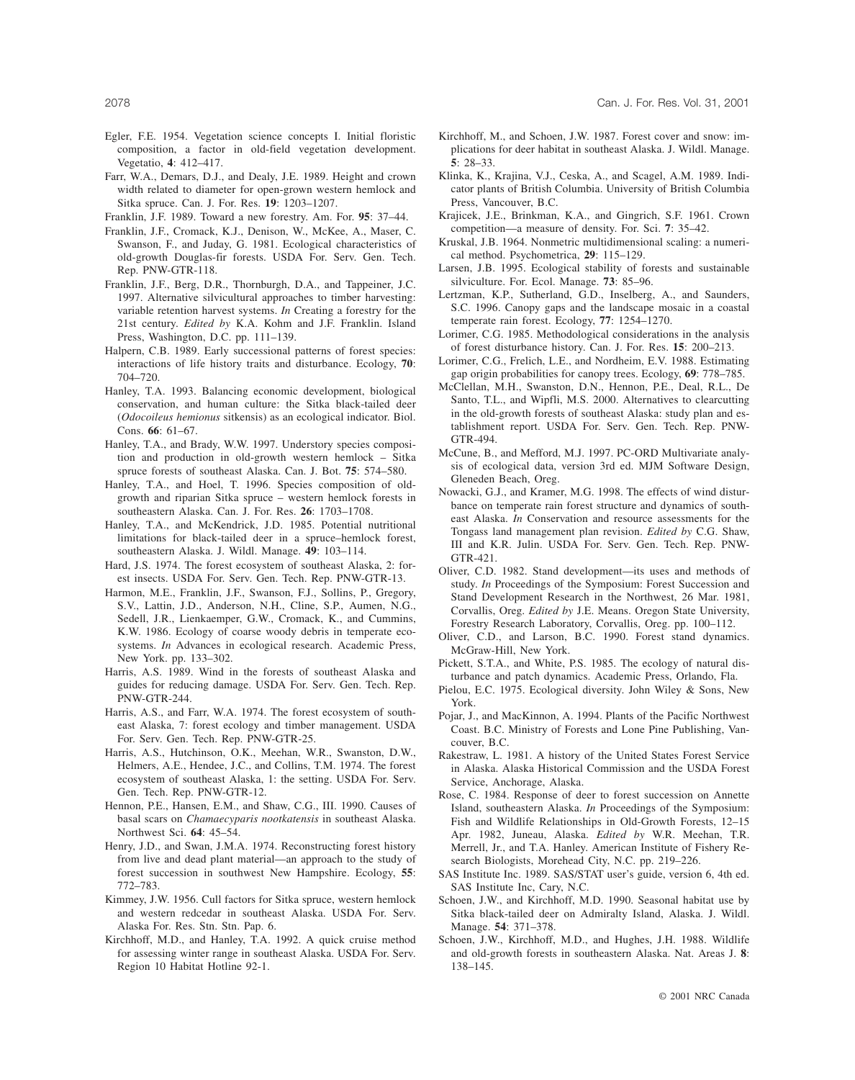- Egler, F.E. 1954. Vegetation science concepts I. Initial floristic composition, a factor in old-field vegetation development. Vegetatio, **4**: 412–417.
- Farr, W.A., Demars, D.J., and Dealy, J.E. 1989. Height and crown width related to diameter for open-grown western hemlock and Sitka spruce. Can. J. For. Res. **19**: 1203–1207.

Franklin, J.F. 1989. Toward a new forestry. Am. For. **95**: 37–44.

- Franklin, J.F., Cromack, K.J., Denison, W., McKee, A., Maser, C. Swanson, F., and Juday, G. 1981. Ecological characteristics of old-growth Douglas-fir forests. USDA For. Serv. Gen. Tech. Rep. PNW-GTR-118.
- Franklin, J.F., Berg, D.R., Thornburgh, D.A., and Tappeiner, J.C. 1997. Alternative silvicultural approaches to timber harvesting: variable retention harvest systems. *In* Creating a forestry for the 21st century. *Edited by* K.A. Kohm and J.F. Franklin. Island Press, Washington, D.C. pp. 111–139.
- Halpern, C.B. 1989. Early successional patterns of forest species: interactions of life history traits and disturbance. Ecology, **70**: 704–720.
- Hanley, T.A. 1993. Balancing economic development, biological conservation, and human culture: the Sitka black-tailed deer (*Odocoileus hemionus* sitkensis) as an ecological indicator. Biol. Cons. **66**: 61–67.
- Hanley, T.A., and Brady, W.W. 1997. Understory species composition and production in old-growth western hemlock – Sitka spruce forests of southeast Alaska. Can. J. Bot. **75**: 574–580.
- Hanley, T.A., and Hoel, T. 1996. Species composition of oldgrowth and riparian Sitka spruce – western hemlock forests in southeastern Alaska. Can. J. For. Res. **26**: 1703–1708.
- Hanley, T.A., and McKendrick, J.D. 1985. Potential nutritional limitations for black-tailed deer in a spruce–hemlock forest, southeastern Alaska. J. Wildl. Manage. **49**: 103–114.

Hard, J.S. 1974. The forest ecosystem of southeast Alaska, 2: forest insects. USDA For. Serv. Gen. Tech. Rep. PNW-GTR-13.

- Harmon, M.E., Franklin, J.F., Swanson, F.J., Sollins, P., Gregory, S.V., Lattin, J.D., Anderson, N.H., Cline, S.P., Aumen, N.G., Sedell, J.R., Lienkaemper, G.W., Cromack, K., and Cummins, K.W. 1986. Ecology of coarse woody debris in temperate ecosystems. *In* Advances in ecological research. Academic Press, New York. pp. 133–302.
- Harris, A.S. 1989. Wind in the forests of southeast Alaska and guides for reducing damage. USDA For. Serv. Gen. Tech. Rep. PNW-GTR-244.
- Harris, A.S., and Farr, W.A. 1974. The forest ecosystem of southeast Alaska, 7: forest ecology and timber management. USDA For. Serv. Gen. Tech. Rep. PNW-GTR-25.
- Harris, A.S., Hutchinson, O.K., Meehan, W.R., Swanston, D.W., Helmers, A.E., Hendee, J.C., and Collins, T.M. 1974. The forest ecosystem of southeast Alaska, 1: the setting. USDA For. Serv. Gen. Tech. Rep. PNW-GTR-12.
- Hennon, P.E., Hansen, E.M., and Shaw, C.G., III. 1990. Causes of basal scars on *Chamaecyparis nootkatensis* in southeast Alaska. Northwest Sci. **64**: 45–54.
- Henry, J.D., and Swan, J.M.A. 1974. Reconstructing forest history from live and dead plant material—an approach to the study of forest succession in southwest New Hampshire. Ecology, **55**: 772–783.
- Kimmey, J.W. 1956. Cull factors for Sitka spruce, western hemlock and western redcedar in southeast Alaska. USDA For. Serv. Alaska For. Res. Stn. Stn. Pap. 6.
- Kirchhoff, M.D., and Hanley, T.A. 1992. A quick cruise method for assessing winter range in southeast Alaska. USDA For. Serv. Region 10 Habitat Hotline 92-1.
- Kirchhoff, M., and Schoen, J.W. 1987. Forest cover and snow: implications for deer habitat in southeast Alaska. J. Wildl. Manage. **5**: 28–33.
- Klinka, K., Krajina, V.J., Ceska, A., and Scagel, A.M. 1989. Indicator plants of British Columbia. University of British Columbia Press, Vancouver, B.C.
- Krajicek, J.E., Brinkman, K.A., and Gingrich, S.F. 1961. Crown competition—a measure of density. For. Sci. **7**: 35–42.
- Kruskal, J.B. 1964. Nonmetric multidimensional scaling: a numerical method. Psychometrica, **29**: 115–129.
- Larsen, J.B. 1995. Ecological stability of forests and sustainable silviculture. For. Ecol. Manage. **73**: 85–96.
- Lertzman, K.P., Sutherland, G.D., Inselberg, A., and Saunders, S.C. 1996. Canopy gaps and the landscape mosaic in a coastal temperate rain forest. Ecology, **77**: 1254–1270.
- Lorimer, C.G. 1985. Methodological considerations in the analysis of forest disturbance history. Can. J. For. Res. **15**: 200–213.
- Lorimer, C.G., Frelich, L.E., and Nordheim, E.V. 1988. Estimating gap origin probabilities for canopy trees. Ecology, **69**: 778–785.
- McClellan, M.H., Swanston, D.N., Hennon, P.E., Deal, R.L., De Santo, T.L., and Wipfli, M.S. 2000. Alternatives to clearcutting in the old-growth forests of southeast Alaska: study plan and establishment report. USDA For. Serv. Gen. Tech. Rep. PNW-GTR-494.
- McCune, B., and Mefford, M.J. 1997. PC-ORD Multivariate analysis of ecological data, version 3rd ed. MJM Software Design, Gleneden Beach, Oreg.
- Nowacki, G.J., and Kramer, M.G. 1998. The effects of wind disturbance on temperate rain forest structure and dynamics of southeast Alaska. *In* Conservation and resource assessments for the Tongass land management plan revision. *Edited by* C.G. Shaw, III and K.R. Julin. USDA For. Serv. Gen. Tech. Rep. PNW-GTR-421.
- Oliver, C.D. 1982. Stand development—its uses and methods of study. *In* Proceedings of the Symposium: Forest Succession and Stand Development Research in the Northwest, 26 Mar. 1981, Corvallis, Oreg. *Edited by* J.E. Means. Oregon State University, Forestry Research Laboratory, Corvallis, Oreg. pp. 100–112.
- Oliver, C.D., and Larson, B.C. 1990. Forest stand dynamics. McGraw-Hill, New York.
- Pickett, S.T.A., and White, P.S. 1985. The ecology of natural disturbance and patch dynamics. Academic Press, Orlando, Fla.
- Pielou, E.C. 1975. Ecological diversity. John Wiley & Sons, New York.
- Pojar, J., and MacKinnon, A. 1994. Plants of the Pacific Northwest Coast. B.C. Ministry of Forests and Lone Pine Publishing, Vancouver, B.C.
- Rakestraw, L. 1981. A history of the United States Forest Service in Alaska. Alaska Historical Commission and the USDA Forest Service, Anchorage, Alaska.
- Rose, C. 1984. Response of deer to forest succession on Annette Island, southeastern Alaska. *In* Proceedings of the Symposium: Fish and Wildlife Relationships in Old-Growth Forests, 12–15 Apr. 1982, Juneau, Alaska. *Edited by* W.R. Meehan, T.R. Merrell, Jr., and T.A. Hanley. American Institute of Fishery Research Biologists, Morehead City, N.C. pp. 219–226.
- SAS Institute Inc. 1989. SAS/STAT user's guide, version 6, 4th ed. SAS Institute Inc, Cary, N.C.
- Schoen, J.W., and Kirchhoff, M.D. 1990. Seasonal habitat use by Sitka black-tailed deer on Admiralty Island, Alaska. J. Wildl. Manage. **54**: 371–378.
- Schoen, J.W., Kirchhoff, M.D., and Hughes, J.H. 1988. Wildlife and old-growth forests in southeastern Alaska. Nat. Areas J. **8**: 138–145.